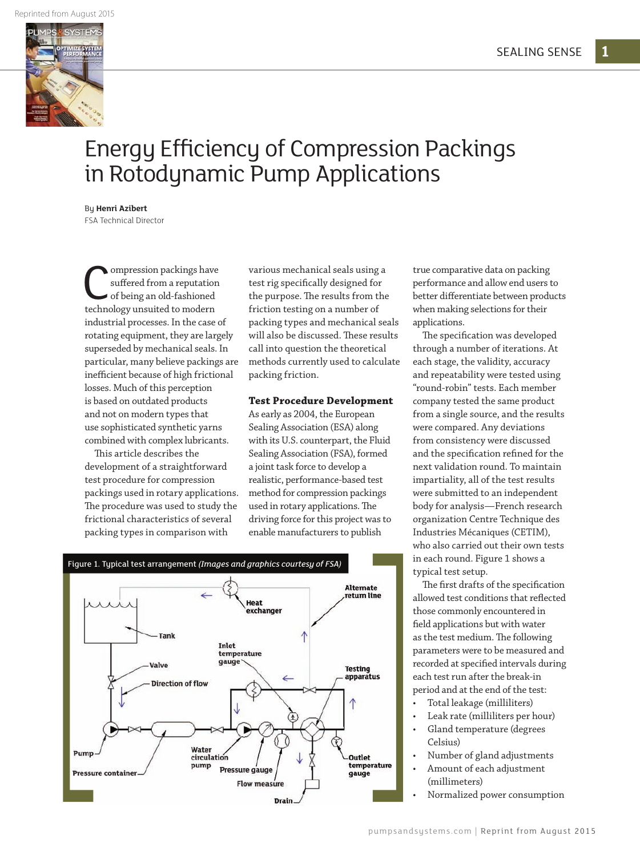

# Energy Efficiency of Compression Packings in Rotodynamic Pump Applications

By **Henri Azibert** FSA Technical Director

**Compression packings have**<br>
suffered from a reputation<br>
of being an old-fashioned<br>
technology uncuited to modern suffered from a reputation technology unsuited to modern industrial processes. In the case of rotating equipment, they are largely superseded by mechanical seals. In particular, many believe packings are inefficient because of high frictional losses. Much of this perception is based on outdated products and not on modern types that use sophisticated synthetic yarns combined with complex lubricants.

This article describes the development of a straightforward test procedure for compression packings used in rotary applications. The procedure was used to study the frictional characteristics of several packing types in comparison with

various mechanical seals using a test rig specifically designed for the purpose. The results from the friction testing on a number of packing types and mechanical seals will also be discussed. These results call into question the theoretical methods currently used to calculate packing friction.

#### **Test Procedure Development**

As early as 2004, the European Sealing Association (ESA) along with its U.S. counterpart, the Fluid Sealing Association (FSA), formed a joint task force to develop a realistic, performance-based test method for compression packings used in rotary applications. The driving force for this project was to enable manufacturers to publish



The specification was developed through a number of iterations. At each stage, the validity, accuracy and repeatability were tested using "round-robin" tests. Each member company tested the same product from a single source, and the results were compared. Any deviations from consistency were discussed and the specification refined for the next validation round. To maintain impartiality, all of the test results were submitted to an independent body for analysis—French research organization Centre Technique des Industries Mécaniques (CETIM), who also carried out their own tests in each round. Figure 1 shows a typical test setup.

The first drafts of the specification allowed test conditions that reflected those commonly encountered in field applications but with water as the test medium. The following parameters were to be measured and recorded at specified intervals during each test run after the break-in period and at the end of the test:

- Total leakage (milliliters)
- Leak rate (milliliters per hour)
- Gland temperature (degrees Celsius)
- Number of gland adjustments
- Amount of each adjustment (millimeters)
- Normalized power consumption

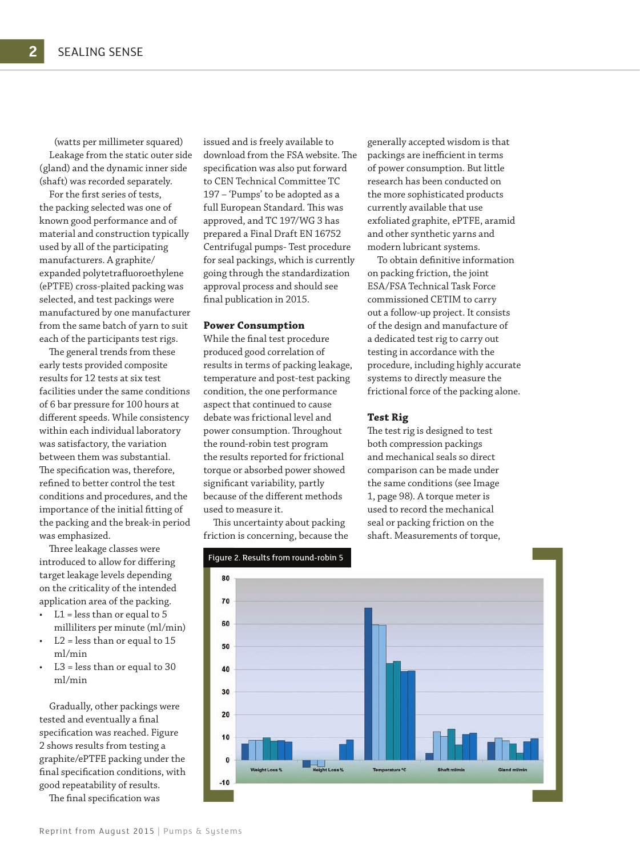(watts per millimeter squared) Leakage from the static outer side (gland) and the dynamic inner side (shaft) was recorded separately.

For the first series of tests, the packing selected was one of known good performance and of material and construction typically used by all of the participating manufacturers. A graphite/ expanded polytetrafluoroethylene (ePTFE) cross-plaited packing was selected, and test packings were manufactured by one manufacturer from the same batch of yarn to suit each of the participants test rigs.

The general trends from these early tests provided composite results for 12 tests at six test facilities under the same conditions of 6 bar pressure for 100 hours at different speeds. While consistency within each individual laboratory was satisfactory, the variation between them was substantial. The specification was, therefore, refined to better control the test conditions and procedures, and the importance of the initial fitting of the packing and the break-in period was emphasized.

Three leakage classes were introduced to allow for differing target leakage levels depending on the criticality of the intended application area of the packing.

- $L1 =$  less than or equal to 5 milliliters per minute (ml/min)
- $L2 =$  less than or equal to 15 ml/min
- L3 = less than or equal to 30 ml/min

Gradually, other packings were tested and eventually a final specification was reached. Figure 2 shows results from testing a graphite/ePTFE packing under the final specification conditions, with good repeatability of results.

The final specification was

issued and is freely available to download from the FSA website. The specification was also put forward to CEN Technical Committee TC 197 – 'Pumps' to be adopted as a full European Standard. This was approved, and TC 197/WG 3 has prepared a Final Draft EN 16752 Centrifugal pumps- Test procedure for seal packings, which is currently going through the standardization approval process and should see final publication in 2015.

## **Power Consumption**

While the final test procedure produced good correlation of results in terms of packing leakage, temperature and post-test packing condition, the one performance aspect that continued to cause debate was frictional level and power consumption. Throughout the round-robin test program the results reported for frictional torque or absorbed power showed significant variability, partly because of the different methods used to measure it.

This uncertainty about packing friction is concerning, because the generally accepted wisdom is that packings are inefficient in terms of power consumption. But little research has been conducted on the more sophisticated products currently available that use exfoliated graphite, ePTFE, aramid and other synthetic yarns and modern lubricant systems.

To obtain definitive information on packing friction, the joint ESA/FSA Technical Task Force commissioned CETIM to carry out a follow-up project. It consists of the design and manufacture of a dedicated test rig to carry out testing in accordance with the procedure, including highly accurate systems to directly measure the frictional force of the packing alone.

## **Test Rig**

The test rig is designed to test both compression packings and mechanical seals so direct comparison can be made under the same conditions (see Image 1, page 98). A torque meter is used to record the mechanical seal or packing friction on the shaft. Measurements of torque,



## Figure 2. Results from round-robin 5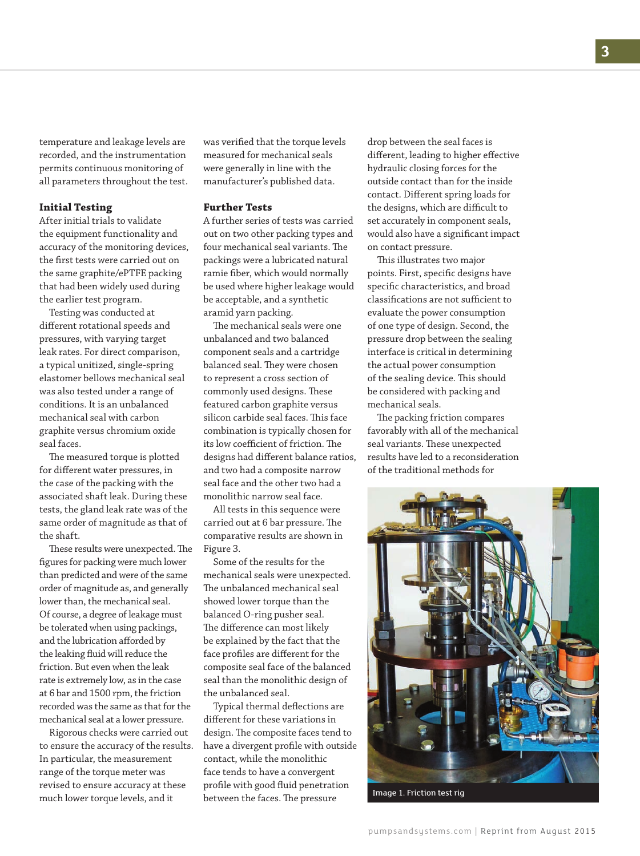temperature and leakage levels are recorded, and the instrumentation permits continuous monitoring of all parameters throughout the test.

## **Initial Testing**

After initial trials to validate the equipment functionality and accuracy of the monitoring devices, the first tests were carried out on the same graphite/ePTFE packing that had been widely used during the earlier test program.

Testing was conducted at different rotational speeds and pressures, with varying target leak rates. For direct comparison, a typical unitized, single-spring elastomer bellows mechanical seal was also tested under a range of conditions. It is an unbalanced mechanical seal with carbon graphite versus chromium oxide seal faces.

The measured torque is plotted for different water pressures, in the case of the packing with the associated shaft leak. During these tests, the gland leak rate was of the same order of magnitude as that of the shaft.

These results were unexpected. The figures for packing were much lower than predicted and were of the same order of magnitude as, and generally lower than, the mechanical seal. Of course, a degree of leakage must be tolerated when using packings, and the lubrication afforded by the leaking fluid will reduce the friction. But even when the leak rate is extremely low, as in the case at 6 bar and 1500 rpm, the friction recorded was the same as that for the mechanical seal at a lower pressure.

Rigorous checks were carried out to ensure the accuracy of the results. In particular, the measurement range of the torque meter was revised to ensure accuracy at these much lower torque levels, and it

was verified that the torque levels measured for mechanical seals were generally in line with the manufacturer's published data.

## **Further Tests**

A further series of tests was carried out on two other packing types and four mechanical seal variants. The packings were a lubricated natural ramie fiber, which would normally be used where higher leakage would be acceptable, and a synthetic aramid yarn packing.

The mechanical seals were one unbalanced and two balanced component seals and a cartridge balanced seal. They were chosen to represent a cross section of commonly used designs. These featured carbon graphite versus silicon carbide seal faces. This face combination is typically chosen for its low coefficient of friction. The designs had different balance ratios, and two had a composite narrow seal face and the other two had a monolithic narrow seal face.

All tests in this sequence were carried out at 6 bar pressure. The comparative results are shown in Figure 3.

Some of the results for the mechanical seals were unexpected. The unbalanced mechanical seal showed lower torque than the balanced O-ring pusher seal. The difference can most likely be explained by the fact that the face profiles are different for the composite seal face of the balanced seal than the monolithic design of the unbalanced seal.

Typical thermal deflections are different for these variations in design. The composite faces tend to have a divergent profile with outside contact, while the monolithic face tends to have a convergent profile with good fluid penetration between the faces. The pressure

drop between the seal faces is different, leading to higher effective hydraulic closing forces for the outside contact than for the inside contact. Different spring loads for the designs, which are difficult to set accurately in component seals, would also have a significant impact on contact pressure.

This illustrates two major points. First, specific designs have specific characteristics, and broad classifications are not sufficient to evaluate the power consumption of one type of design. Second, the pressure drop between the sealing interface is critical in determining the actual power consumption of the sealing device. This should be considered with packing and mechanical seals.

The packing friction compares favorably with all of the mechanical seal variants. These unexpected results have led to a reconsideration of the traditional methods for



Image 1. Friction test rig